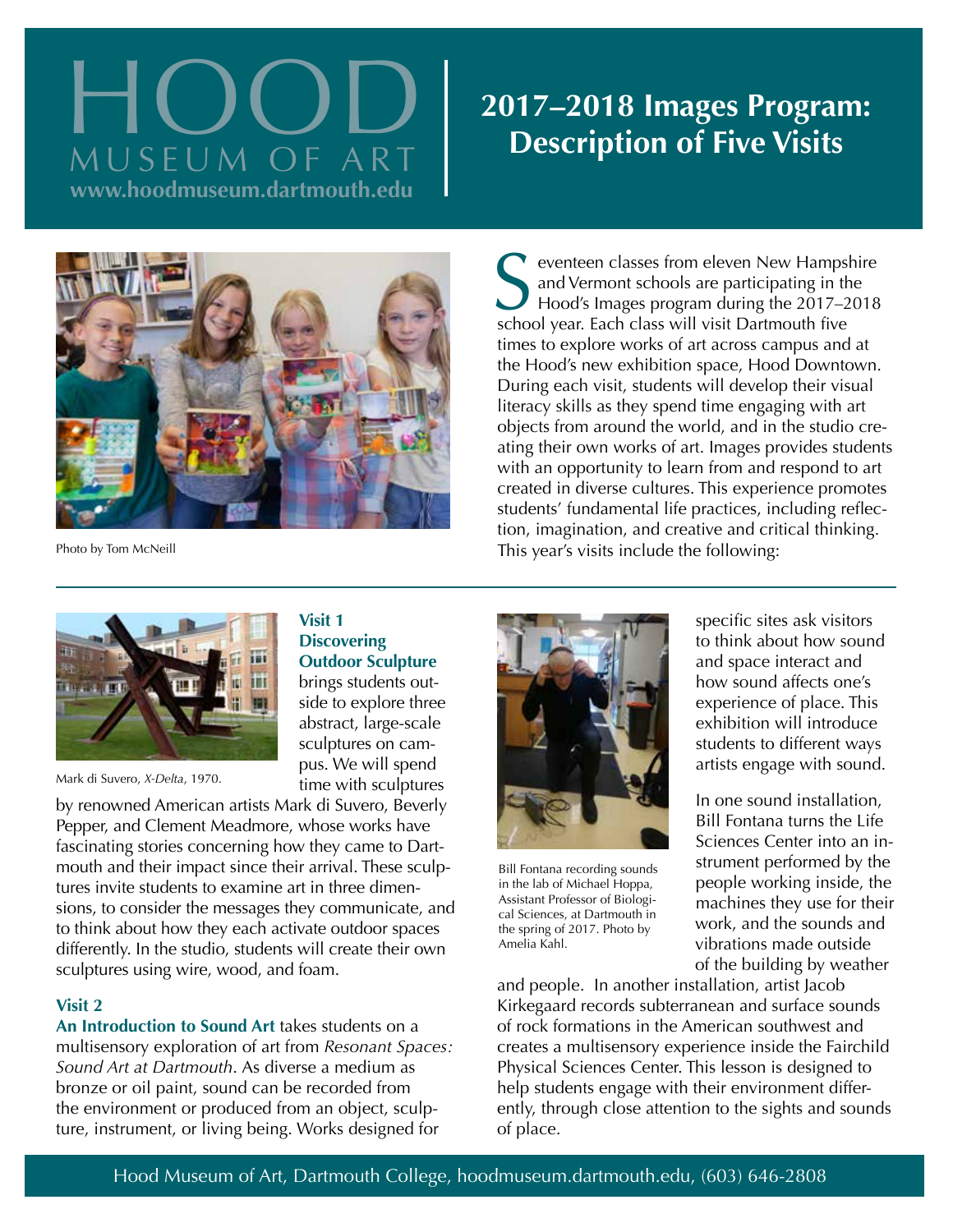# **2017–2018 Images Program:**<br>MUSEUM OF ART **Description of Five Visits www.hoodmuseum.dartmouth.edu**



**Visit 1 Discovering** 

**Outdoor Sculpture** brings students outside to explore three abstract, large-scale sculptures on campus. We will spend time with sculptures

Photo by Tom McNeill

Subset of the event of New Hampsl<br>and Vermont schools are participating in the Hood's Images program during the 2017–2<br>school year. Each class will visit Dartmouth five eventeen classes from eleven New Hampshire and Vermont schools are participating in the Hood's Images program during the 2017–2018 times to explore works of art across campus and at the Hood's new exhibition space, Hood Downtown. During each visit, students will develop their visual literacy skills as they spend time engaging with art objects from around the world, and in the studio creating their own works of art. Images provides students with an opportunity to learn from and respond to art created in diverse cultures. This experience promotes students' fundamental life practices, including reflection, imagination, and creative and critical thinking. This year's visits include the following:



Mark di Suvero, *X-Delta*, 1970.

by renowned American artists Mark di Suvero, Beverly Pepper, and Clement Meadmore, whose works have fascinating stories concerning how they came to Dartmouth and their impact since their arrival. These sculptures invite students to examine art in three dimensions, to consider the messages they communicate, and to think about how they each activate outdoor spaces differently. In the studio, students will create their own sculptures using wire, wood, and foam.

## **Visit 2**

**An Introduction to Sound Art** takes students on a multisensory exploration of art from *Resonant Spaces: Sound Art at Dartmouth*. As diverse a medium as bronze or oil paint, sound can be recorded from the environment or produced from an object, sculpture, instrument, or living being. Works designed for



Bill Fontana recording sounds in the lab of Michael Hoppa, Assistant Professor of Biological Sciences, at Dartmouth in the spring of 2017. Photo by Amelia Kahl.

specific sites ask visitors to think about how sound and space interact and how sound affects one's experience of place. This exhibition will introduce students to different ways artists engage with sound.

In one sound installation, Bill Fontana turns the Life Sciences Center into an instrument performed by the people working inside, the machines they use for their work, and the sounds and vibrations made outside of the building by weather

and people. In another installation, artist Jacob Kirkegaard records subterranean and surface sounds of rock formations in the American southwest and creates a multisensory experience inside the Fairchild Physical Sciences Center. This lesson is designed to help students engage with their environment differently, through close attention to the sights and sounds of place.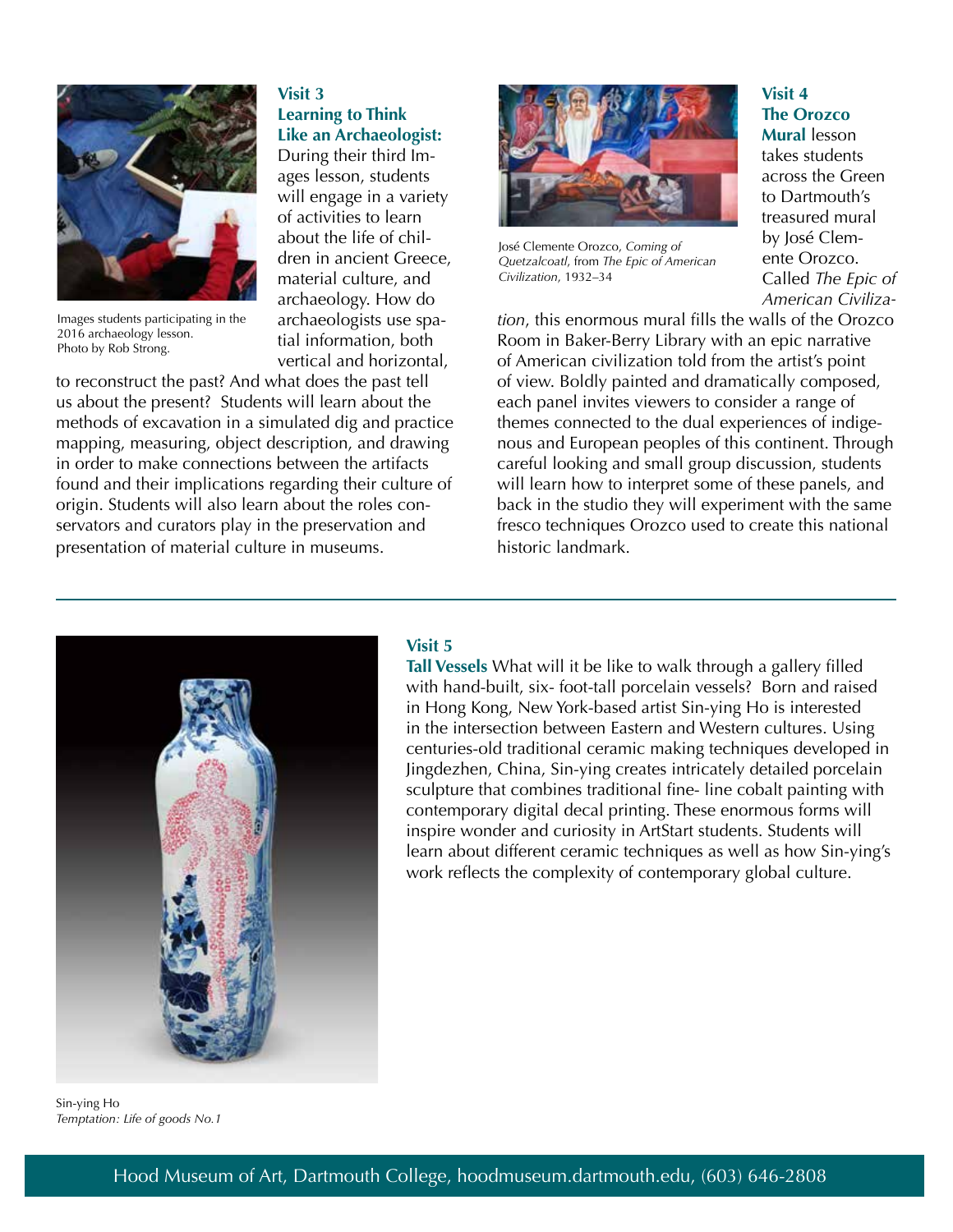

Images students participating in the 2016 archaeology lesson. Photo by Rob Strong.

#### **Visit 3 Learning to Think Like an Archaeologist:**

During their third Images lesson, students will engage in a variety of activities to learn about the life of children in ancient Greece, material culture, and archaeology. How do archaeologists use spatial information, both vertical and horizontal,

to reconstruct the past? And what does the past tell us about the present? Students will learn about the methods of excavation in a simulated dig and practice mapping, measuring, object description, and drawing in order to make connections between the artifacts found and their implications regarding their culture of origin. Students will also learn about the roles conservators and curators play in the preservation and presentation of material culture in museums.



José Clemente Orozco, *Coming of Quetzalcoatl*, from *The Epic of American Civilization*, 1932–34

# **Visit 4 The Orozco**

**Mural** lesson takes students across the Green to Dartmouth's treasured mural by José Clemente Orozco. Called *The Epic of American Civiliza-*

*tion*, this enormous mural fills the walls of the Orozco Room in Baker-Berry Library with an epic narrative of American civilization told from the artist's point of view. Boldly painted and dramatically composed, each panel invites viewers to consider a range of themes connected to the dual experiences of indigenous and European peoples of this continent. Through careful looking and small group discussion, students will learn how to interpret some of these panels, and back in the studio they will experiment with the same fresco techniques Orozco used to create this national historic landmark.



### **Visit 5**

**Tall Vessels** What will it be like to walk through a gallery filled with hand-built, six- foot-tall porcelain vessels? Born and raised in Hong Kong, New York-based artist Sin-ying Ho is interested in the intersection between Eastern and Western cultures. Using centuries-old traditional ceramic making techniques developed in Jingdezhen, China, Sin-ying creates intricately detailed porcelain sculpture that combines traditional fine- line cobalt painting with contemporary digital decal printing. These enormous forms will inspire wonder and curiosity in ArtStart students. Students will learn about different ceramic techniques as well as how Sin-ying's work reflects the complexity of contemporary global culture.

Sin-ying Ho *Temptation: Life of goods No.1*